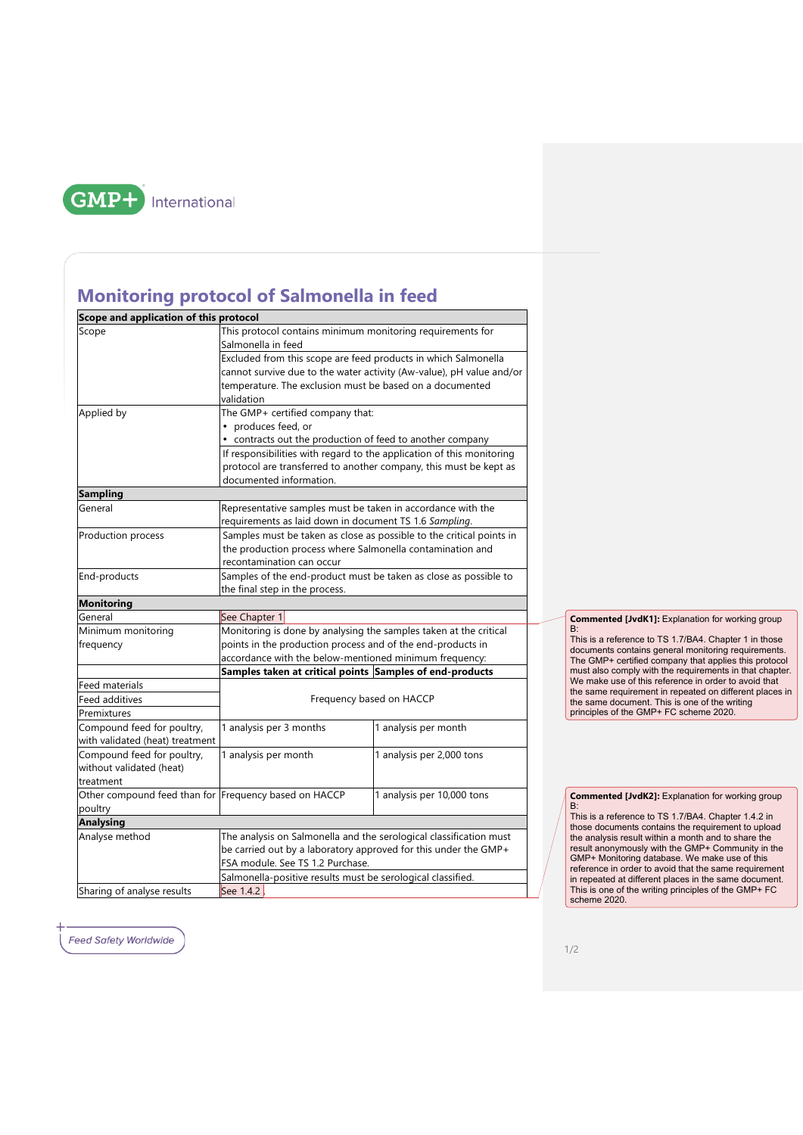

## **Monitoring protocol of Salmonella in feed**

| Scope and application of this protocol                          |                                                                                                                                                                                                                                                                                             |                            |
|-----------------------------------------------------------------|---------------------------------------------------------------------------------------------------------------------------------------------------------------------------------------------------------------------------------------------------------------------------------------------|----------------------------|
| Scope                                                           | This protocol contains minimum monitoring requirements for                                                                                                                                                                                                                                  |                            |
|                                                                 | Salmonella in feed                                                                                                                                                                                                                                                                          |                            |
|                                                                 | Excluded from this scope are feed products in which Salmonella                                                                                                                                                                                                                              |                            |
|                                                                 | cannot survive due to the water activity (Aw-value), pH value and/or                                                                                                                                                                                                                        |                            |
|                                                                 | temperature. The exclusion must be based on a documented                                                                                                                                                                                                                                    |                            |
|                                                                 | validation                                                                                                                                                                                                                                                                                  |                            |
| Applied by                                                      | The GMP+ certified company that:<br>produces feed, or<br>• contracts out the production of feed to another company<br>If responsibilities with regard to the application of this monitoring<br>protocol are transferred to another company, this must be kept as<br>documented information. |                            |
|                                                                 |                                                                                                                                                                                                                                                                                             |                            |
|                                                                 |                                                                                                                                                                                                                                                                                             |                            |
|                                                                 |                                                                                                                                                                                                                                                                                             |                            |
|                                                                 |                                                                                                                                                                                                                                                                                             |                            |
|                                                                 |                                                                                                                                                                                                                                                                                             |                            |
| <b>Sampling</b>                                                 |                                                                                                                                                                                                                                                                                             |                            |
| General                                                         | Representative samples must be taken in accordance with the                                                                                                                                                                                                                                 |                            |
|                                                                 | requirements as laid down in document TS 1.6 Sampling.                                                                                                                                                                                                                                      |                            |
| Production process                                              | Samples must be taken as close as possible to the critical points in<br>the production process where Salmonella contamination and                                                                                                                                                           |                            |
|                                                                 |                                                                                                                                                                                                                                                                                             |                            |
|                                                                 | recontamination can occur                                                                                                                                                                                                                                                                   |                            |
| End-products                                                    | Samples of the end-product must be taken as close as possible to                                                                                                                                                                                                                            |                            |
| the final step in the process.                                  |                                                                                                                                                                                                                                                                                             |                            |
| <b>Monitoring</b>                                               |                                                                                                                                                                                                                                                                                             |                            |
| General                                                         | See Chapter 1                                                                                                                                                                                                                                                                               |                            |
| Minimum monitoring                                              | Monitoring is done by analysing the samples taken at the critical                                                                                                                                                                                                                           |                            |
| frequency                                                       | points in the production process and of the end-products in<br>accordance with the below-mentioned minimum frequency:                                                                                                                                                                       |                            |
|                                                                 |                                                                                                                                                                                                                                                                                             |                            |
|                                                                 | Samples taken at critical points Samples of end-products                                                                                                                                                                                                                                    |                            |
| Feed materials                                                  |                                                                                                                                                                                                                                                                                             |                            |
| Feed additives                                                  | Frequency based on HACCP                                                                                                                                                                                                                                                                    |                            |
| Premixtures                                                     |                                                                                                                                                                                                                                                                                             |                            |
| Compound feed for poultry,                                      | 1 analysis per 3 months                                                                                                                                                                                                                                                                     | 1 analysis per month       |
| with validated (heat) treatment                                 |                                                                                                                                                                                                                                                                                             |                            |
| Compound feed for poultry,                                      | 1 analysis per month                                                                                                                                                                                                                                                                        | 1 analysis per 2,000 tons  |
| without validated (heat)                                        |                                                                                                                                                                                                                                                                                             |                            |
| treatment                                                       |                                                                                                                                                                                                                                                                                             |                            |
| Other compound feed than for Frequency based on HACCP           |                                                                                                                                                                                                                                                                                             | 1 analysis per 10,000 tons |
| poultry                                                         |                                                                                                                                                                                                                                                                                             |                            |
| <b>Analysing</b>                                                |                                                                                                                                                                                                                                                                                             |                            |
| Analyse method                                                  | The analysis on Salmonella and the serological classification must                                                                                                                                                                                                                          |                            |
| be carried out by a laboratory approved for this under the GMP+ |                                                                                                                                                                                                                                                                                             |                            |
|                                                                 | FSA module. See TS 1.2 Purchase.<br>Salmonella-positive results must be serological classified.                                                                                                                                                                                             |                            |
|                                                                 |                                                                                                                                                                                                                                                                                             |                            |
| Sharing of analyse results                                      | See 1.4.2                                                                                                                                                                                                                                                                                   |                            |

**Commented [JvdK1]:** Explanation for working group B:

This is a reference to TS 1.7/BA4. Chapter 1 in those documents contains general monitoring requirements. The GMP+ certified company that applies this protocol must also comply with the requirements in that chapter. We make use of this reference in order to avoid that the same requirement in repeated on different places in the same document. This is one of the writing principles of the GMP+ FC scheme 2020.

**Commented [JvdK2]:** Explanation for working group<br>B:<br>This is a reference to TS 1.7/BA4. Chapter 1.4.2 in

those documents contains the requirement to upload the analysis result within a month and to share the result anonymously with the GMP+ Community in the GMP+ Monitoring database. We make use of this reference in order to avoid that the same requirement in repeated at different places in the same document. This is one of the writing principles of the GMP+ FC scheme 2020.

**Feed Safety Worldwide**